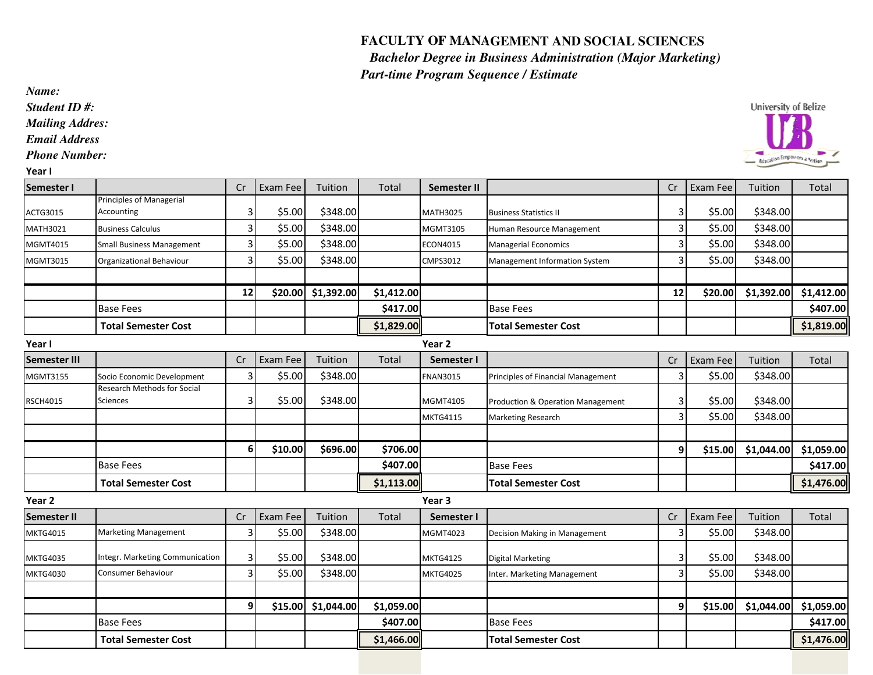## **FACULTY OF MANAGEMENT AND SOCIAL SCIENCES FACULTY OF MANAGEMENT AND SOCIAL SCIENCES**

 *Bachelor Degree in Business Administration (Major Marketing) Part-time Program Sequence / Estimate Bachelor Sequence / Estimate*

*Student ID #:*

*Mailing Addres:*

*Email Address*

*Phone Number:*

| ×<br>۰.<br>. . |  |
|----------------|--|
|----------------|--|

| I cal I             |                                  |    |          |            |              |                   |                                      |    |          |            |              |
|---------------------|----------------------------------|----|----------|------------|--------------|-------------------|--------------------------------------|----|----------|------------|--------------|
| Semester I          |                                  | Cr | Exam Fee | Tuition    | <b>Total</b> | Semester II       |                                      | Cr | Exam Fee | Tuition    | <b>Total</b> |
|                     | <b>Principles of Managerial</b>  |    |          |            |              |                   |                                      |    |          |            |              |
| ACTG3015            | Accounting                       | 3  | \$5.00   | \$348.00   |              | <b>MATH3025</b>   | <b>Business Statistics II</b>        | 3  | \$5.00   | \$348.00   |              |
| MATH3021            | <b>Business Calculus</b>         | 3  | \$5.00   | \$348.00   |              | MGMT3105          | Human Resource Management            | 3  | \$5.00   | \$348.00   |              |
| MGMT4015            | <b>Small Business Management</b> |    | \$5.00   | \$348.00   |              | ECON4015          | <b>Managerial Economics</b>          |    | \$5.00   | \$348.00   |              |
| MGMT3015            | Organizational Behaviour         |    | \$5.00   | \$348.00   |              | CMPS3012          | <b>Management Information System</b> | 3  | \$5.00   | \$348.00   |              |
|                     |                                  |    |          |            |              |                   |                                      |    |          |            |              |
|                     |                                  | 12 | \$20.00  | \$1,392.00 | \$1,412.00   |                   |                                      | 12 | \$20.00  | \$1,392.00 | \$1,412.00   |
|                     | <b>Base Fees</b>                 |    |          |            | \$417.00     |                   | <b>Base Fees</b>                     |    |          |            | \$407.00     |
|                     | <b>Total Semester Cost</b>       |    |          |            | \$1,829.00   |                   | <b>Total Semester Cost</b>           |    |          |            | \$1,819.00   |
| Year I              |                                  |    |          |            |              | Year 2            |                                      |    |          |            |              |
| <b>Semester III</b> |                                  | Cr | Exam Fee | Tuition    | <b>Total</b> | Semester I        |                                      | Cr | Exam Fee | Tuition    | Total        |
| MGMT3155            | Socio Economic Development       |    | \$5.00   | \$348.00   |              | <b>FNAN3015</b>   | Principles of Financial Management   | 3  | \$5.00   | \$348.00   |              |
|                     | Research Methods for Social      |    |          |            |              |                   |                                      |    |          |            |              |
| <b>RSCH4015</b>     | Sciences                         |    | \$5.00   | \$348.00   |              | <b>MGMT4105</b>   | Production & Operation Management    | 3  | \$5.00   | \$348.00   |              |
|                     |                                  |    |          |            |              | <b>MKTG4115</b>   | Marketing Research                   | 3  | \$5.00   | \$348.00   |              |
|                     |                                  |    |          |            |              |                   |                                      |    |          |            |              |
|                     |                                  | 6  | \$10.00  | \$696.00   | \$706.00     |                   |                                      | 9  | \$15.00  | \$1,044.00 | \$1,059.00   |
|                     | <b>Base Fees</b>                 |    |          |            | \$407.00     |                   | <b>Base Fees</b>                     |    |          |            | \$417.00     |
|                     | <b>Total Semester Cost</b>       |    |          |            | \$1,113.00   |                   | <b>Total Semester Cost</b>           |    |          |            | \$1,476.00   |
| Year 2              |                                  |    |          |            |              | Year <sub>3</sub> |                                      |    |          |            |              |
| Semester II         |                                  | Cr | Exam Fee | Tuition    | Total        | Semester I        |                                      | Cr | Exam Fee | Tuition    | Total        |
| MKTG4015            | Marketing Management             |    | \$5.00   | \$348.00   |              | MGMT4023          | Decision Making in Management        | 3  | \$5.00   | \$348.00   |              |
|                     | Integr. Marketing Communication  | 3  |          | \$348.00   |              |                   |                                      |    |          |            |              |
| MKTG4035            |                                  |    | \$5.00   |            |              | <b>MKTG4125</b>   | <b>Digital Marketing</b>             |    | \$5.00   | \$348.00   |              |
| MKTG4030            | Consumer Behaviour               |    | \$5.00   | \$348.00   |              | <b>MKTG4025</b>   | Inter. Marketing Management          |    | \$5.00   | \$348.00   |              |
|                     |                                  | 9  | \$15.00  | \$1,044.00 |              |                   |                                      | 9  | \$15.00  | \$1,044.00 | \$1,059.00   |
|                     |                                  |    |          |            | \$1,059.00   |                   |                                      |    |          |            |              |
|                     | <b>Base Fees</b>                 |    |          |            | \$407.00     |                   | <b>Base Fees</b>                     |    |          |            | \$417.00     |
|                     | <b>Total Semester Cost</b>       |    |          |            | \$1,466.00   |                   | <b>Total Semester Cost</b>           |    |          |            | \$1,476.00   |